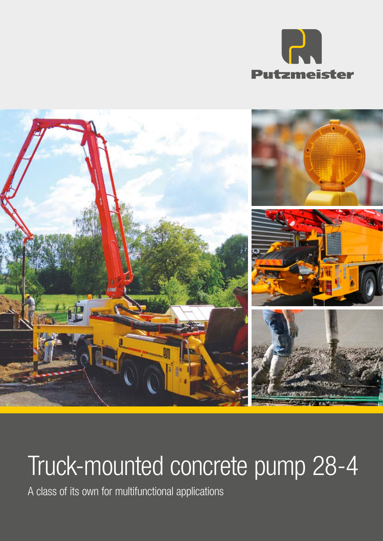



# Truck-mounted concrete pump 28-4

A class of its own for multifunctional applications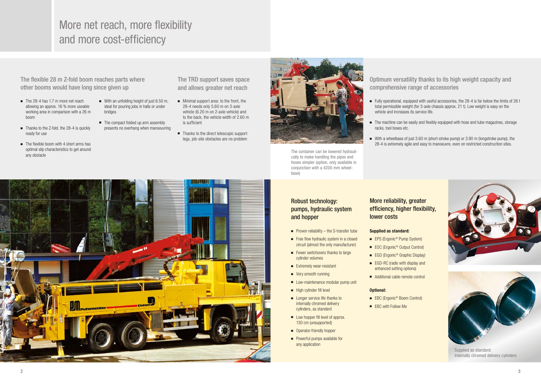More net reach, more flexibility and more cost-efficiency

## Robust technology: pumps, hydraulic system and hopper

The TRD support saves space and allows greater net reach

- Minimal support area: to the front, the 28-4 needs only 5.60 m on 3-axle vehicle (6.20 m on 2-axle vehicle) and to the back, the vehicle width of 2.60 m is sufficient
- Thanks to the direct telescopic support legs, job-site obstacles are no problem



The flexible 28 m Z-fold boom reaches parts where other booms would have long since given up

> ■ Fully operational, equipped with useful accessories, the 28-4 is far below the limits of 26 t total permissible weight (for 3-axle chassis approx. 21 t). Low weight is easy on the

■ The machine can be easily and flexibly equipped with hose and tube magazines, storage

■ With a wheelbase of just 3.60 m (short-stroke pump) or 3.90 m (longstroke pump), the 28-4 is extremely agile and easy to manoeuvre, even on restricted construction sites.





# Optimum versatility thanks to its high weight capacity and comprehensive range of accessories

- Proven reliability the S-transfer tube
- Free flow hydraulic system in a closed circuit (almost the only manufacturer)
- Fewer switchovers thanks to large cylinder volumes
- Extremely wear-resistant
- Very smooth running
- Low-maintenance modular pump unit
- High cylinder fill level
- Longer service life thanks to internally chromed delivery cylinders, as standard
- Low hopper fill level of approx. 130 cm (unsupported)
- Operator-friendly hopper
- Powerful pumps available for any application
- The 28-4 has 1.7 m more net reach allowing an approx. 16 % more useable working area in comparison with a 26 m boom
- Thanks to the Z-fold, the 28-4 is quickly ready for use
- The flexible boom with 4 short arms has optimal slip characteristics to get around any obstacle
- With an unfolding height of just 6.50 m. ideal for pouring jobs in halls or under bridges
- The compact folded up arm assembly presents no overhang when manoeuvring
- vehicle and increases its service life.
- racks, tool boxes etc.
- 



The container can be lowered hydraulically to make handling the pipes and hoses simpler (option, only available in conjunction with a 4200 mm wheelbase)

# More reliability, greater efficiency, higher flexibility, lower costs

### Supplied as standard:

- EPS (Ergonic<sup>®</sup> Pump System)
	- EOC (Ergonic<sup>®</sup> Output Control)
	- EGD (Ergonic<sup>®</sup> Graphic Display)
	- EGD-RC (radio with display and enhanced setting options)
		- Additional cable remote control

### Optional:

- EBC (Ergonic<sup>®</sup> Boom Control)
- EBC with Follow Me

Supplied as standard: Internally chromed delivery cylinders